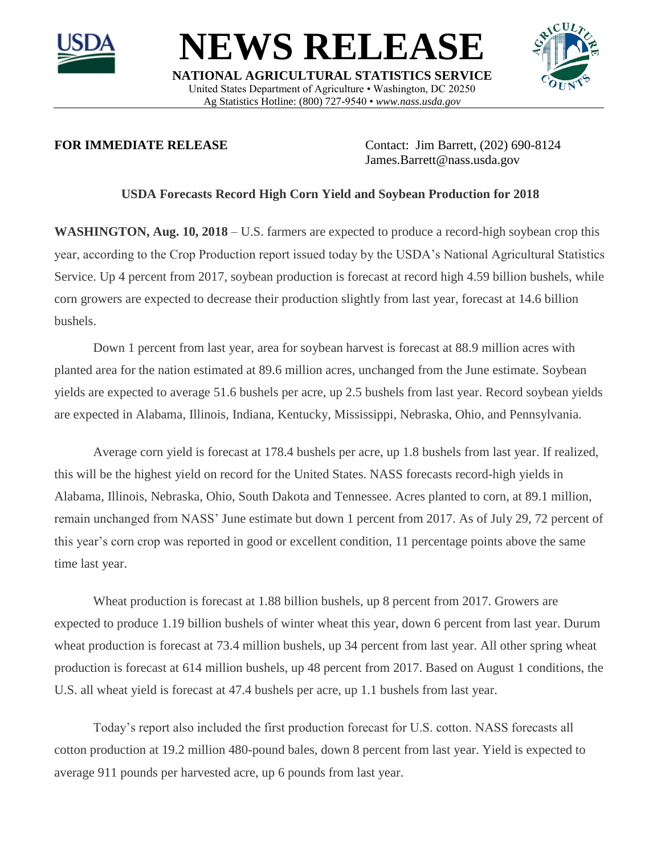



**FOR IMMEDIATE RELEASE** Contact: Jim Barrett, (202) 690-8124 James.Barrett@nass.usda.gov

## **USDA Forecasts Record High Corn Yield and Soybean Production for 2018**

**NEWS RELEASE**

**NATIONAL AGRICULTURAL STATISTICS SERVICE** United States Department of Agriculture • Washington, DC 20250 Ag Statistics Hotline: (800) 727-9540 • *www.nass.usda.gov*

**WASHINGTON, Aug. 10, 2018** – U.S. farmers are expected to produce a record-high soybean crop this year, according to the Crop Production report issued today by the USDA's National Agricultural Statistics Service. Up 4 percent from 2017, soybean production is forecast at record high 4.59 billion bushels, while corn growers are expected to decrease their production slightly from last year, forecast at 14.6 billion bushels.

Down 1 percent from last year, area for soybean harvest is forecast at 88.9 million acres with planted area for the nation estimated at 89.6 million acres, unchanged from the June estimate. Soybean yields are expected to average 51.6 bushels per acre, up 2.5 bushels from last year. Record soybean yields are expected in Alabama, Illinois, Indiana, Kentucky, Mississippi, Nebraska, Ohio, and Pennsylvania.

Average corn yield is forecast at 178.4 bushels per acre, up 1.8 bushels from last year. If realized, this will be the highest yield on record for the United States. NASS forecasts record-high yields in Alabama, Illinois, Nebraska, Ohio, South Dakota and Tennessee. Acres planted to corn, at 89.1 million, remain unchanged from NASS' June estimate but down 1 percent from 2017. As of July 29, 72 percent of this year's corn crop was reported in good or excellent condition, 11 percentage points above the same time last year.

Wheat production is forecast at 1.88 billion bushels, up 8 percent from 2017. Growers are expected to produce 1.19 billion bushels of winter wheat this year, down 6 percent from last year. Durum wheat production is forecast at 73.4 million bushels, up 34 percent from last year. All other spring wheat production is forecast at 614 million bushels, up 48 percent from 2017. Based on August 1 conditions, the U.S. all wheat yield is forecast at 47.4 bushels per acre, up 1.1 bushels from last year.

Today's report also included the first production forecast for U.S. cotton. NASS forecasts all cotton production at 19.2 million 480-pound bales, down 8 percent from last year. Yield is expected to average 911 pounds per harvested acre, up 6 pounds from last year.